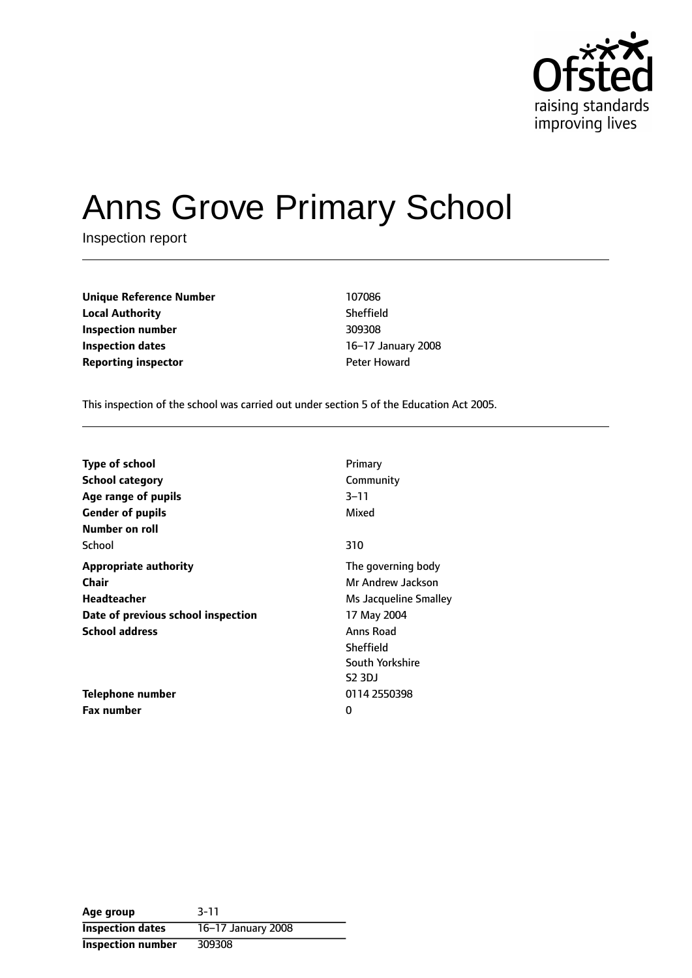

# Anns Grove Primary School

Inspection report

| <b>Unique Reference Number</b> | 107086          |
|--------------------------------|-----------------|
| <b>Local Authority</b>         | Sheffield       |
| Inspection number              | 309308          |
| Inspection dates               | $16-17$ January |
| <b>Reporting inspector</b>     | Peter Howard    |

**Sheffield Inspection number** 309308 **16-17 January 2008** 

This inspection of the school was carried out under section 5 of the Education Act 2005.

| <b>Type of school</b>              | Primary               |
|------------------------------------|-----------------------|
| <b>School category</b>             | Community             |
| Age range of pupils                | $3 - 11$              |
| <b>Gender of pupils</b>            | Mixed                 |
| Number on roll                     |                       |
| School                             | 310                   |
| <b>Appropriate authority</b>       | The governing body    |
| <b>Chair</b>                       | Mr Andrew Jackson     |
| Headteacher                        | Ms Jacqueline Smalley |
| Date of previous school inspection | 17 May 2004           |
| <b>School address</b>              | Anns Road             |
|                                    | Sheffield             |
|                                    | South Yorkshire       |
|                                    | <b>S2 3DJ</b>         |
| Telephone number                   | 0114 2550398          |
| Fax number                         | 0                     |

**Age group** 3-11 **Inspection dates** 16-17 January 2008 **Inspection number** 309308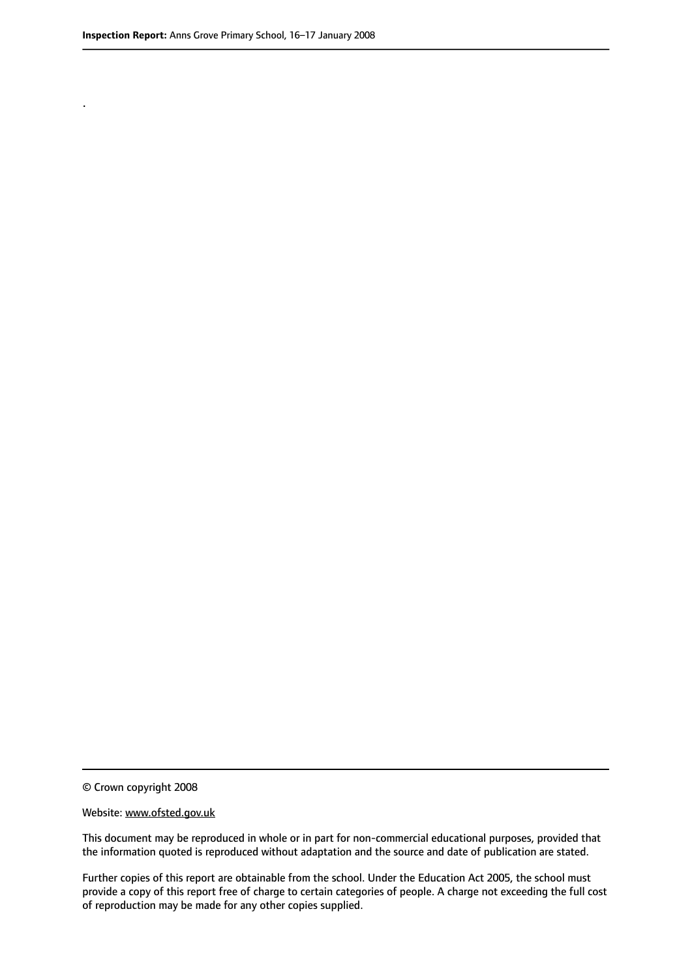.

© Crown copyright 2008

#### Website: www.ofsted.gov.uk

This document may be reproduced in whole or in part for non-commercial educational purposes, provided that the information quoted is reproduced without adaptation and the source and date of publication are stated.

Further copies of this report are obtainable from the school. Under the Education Act 2005, the school must provide a copy of this report free of charge to certain categories of people. A charge not exceeding the full cost of reproduction may be made for any other copies supplied.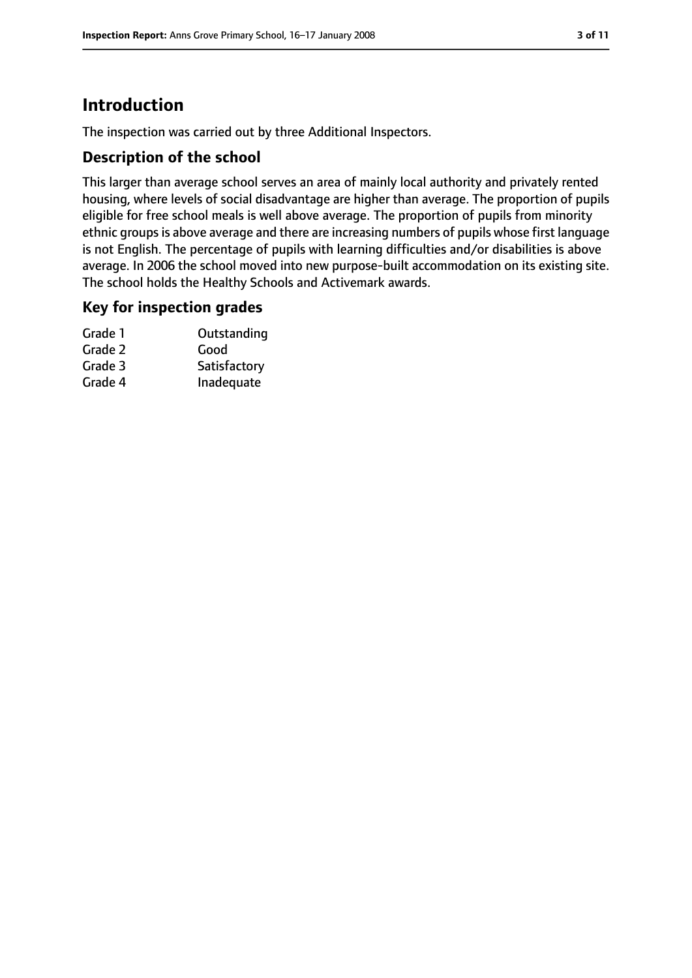# **Introduction**

The inspection was carried out by three Additional Inspectors.

#### **Description of the school**

This larger than average school serves an area of mainly local authority and privately rented housing, where levels of social disadvantage are higher than average. The proportion of pupils eligible for free school meals is well above average. The proportion of pupils from minority ethnic groups is above average and there are increasing numbers of pupils whose first language is not English. The percentage of pupils with learning difficulties and/or disabilities is above average. In 2006 the school moved into new purpose-built accommodation on its existing site. The school holds the Healthy Schools and Activemark awards.

## **Key for inspection grades**

| Grade 1 | Outstanding  |
|---------|--------------|
| Grade 2 | Good         |
| Grade 3 | Satisfactory |
| Grade 4 | Inadequate   |
|         |              |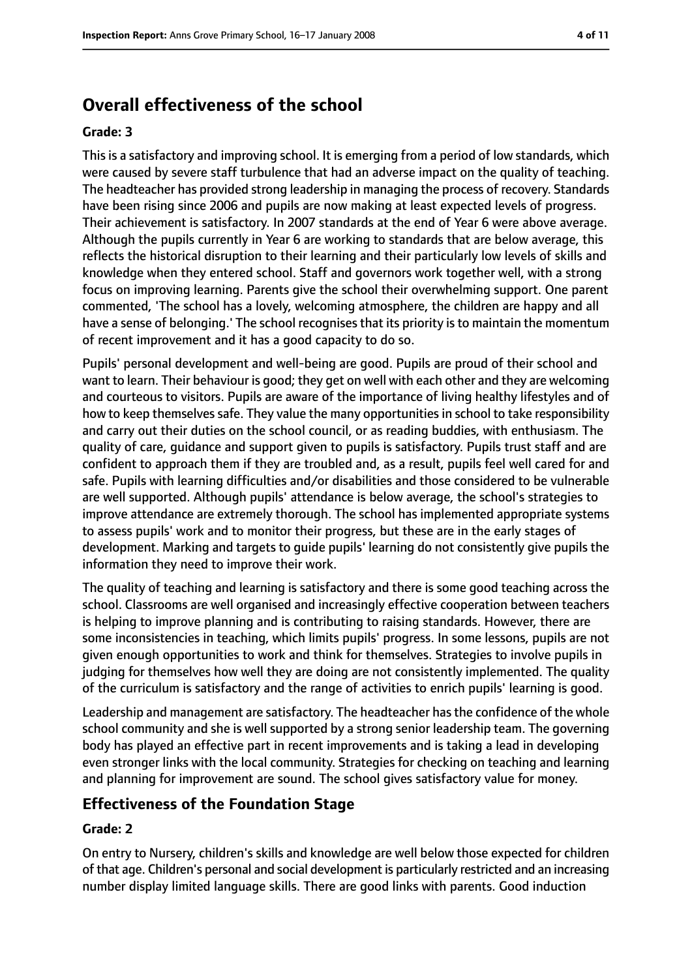# **Overall effectiveness of the school**

#### **Grade: 3**

This is a satisfactory and improving school. It is emerging from a period of low standards, which were caused by severe staff turbulence that had an adverse impact on the quality of teaching. The headteacher has provided strong leadership in managing the process of recovery. Standards have been rising since 2006 and pupils are now making at least expected levels of progress. Their achievement is satisfactory. In 2007 standards at the end of Year 6 were above average. Although the pupils currently in Year 6 are working to standards that are below average, this reflects the historical disruption to their learning and their particularly low levels of skills and knowledge when they entered school. Staff and governors work together well, with a strong focus on improving learning. Parents give the school their overwhelming support. One parent commented, 'The school has a lovely, welcoming atmosphere, the children are happy and all have a sense of belonging.' The school recognises that its priority is to maintain the momentum of recent improvement and it has a good capacity to do so.

Pupils' personal development and well-being are good. Pupils are proud of their school and want to learn. Their behaviour is good; they get on well with each other and they are welcoming and courteous to visitors. Pupils are aware of the importance of living healthy lifestyles and of how to keep themselves safe. They value the many opportunities in school to take responsibility and carry out their duties on the school council, or as reading buddies, with enthusiasm. The quality of care, guidance and support given to pupils is satisfactory. Pupils trust staff and are confident to approach them if they are troubled and, as a result, pupils feel well cared for and safe. Pupils with learning difficulties and/or disabilities and those considered to be vulnerable are well supported. Although pupils' attendance is below average, the school's strategies to improve attendance are extremely thorough. The school has implemented appropriate systems to assess pupils' work and to monitor their progress, but these are in the early stages of development. Marking and targets to guide pupils' learning do not consistently give pupils the information they need to improve their work.

The quality of teaching and learning is satisfactory and there is some good teaching across the school. Classrooms are well organised and increasingly effective cooperation between teachers is helping to improve planning and is contributing to raising standards. However, there are some inconsistencies in teaching, which limits pupils' progress. In some lessons, pupils are not given enough opportunities to work and think for themselves. Strategies to involve pupils in judging for themselves how well they are doing are not consistently implemented. The quality of the curriculum is satisfactory and the range of activities to enrich pupils' learning is good.

Leadership and management are satisfactory. The headteacher has the confidence of the whole school community and she is well supported by a strong senior leadership team. The governing body has played an effective part in recent improvements and is taking a lead in developing even stronger links with the local community. Strategies for checking on teaching and learning and planning for improvement are sound. The school gives satisfactory value for money.

#### **Effectiveness of the Foundation Stage**

#### **Grade: 2**

On entry to Nursery, children's skills and knowledge are well below those expected for children of that age. Children's personal and social development is particularly restricted and an increasing number display limited language skills. There are good links with parents. Good induction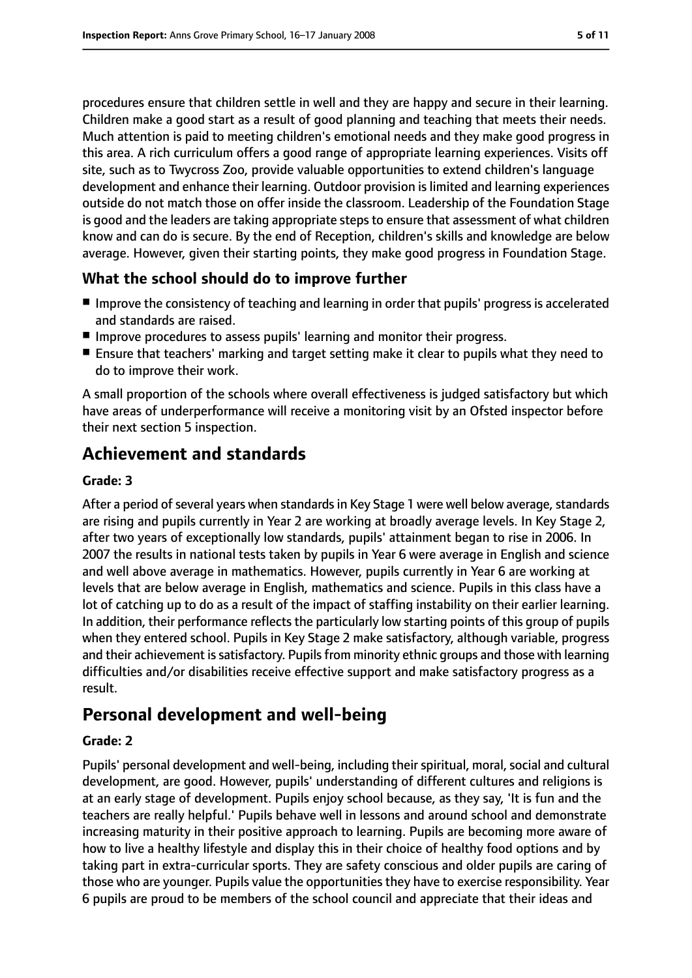procedures ensure that children settle in well and they are happy and secure in their learning. Children make a good start as a result of good planning and teaching that meets their needs. Much attention is paid to meeting children's emotional needs and they make good progress in this area. A rich curriculum offers a good range of appropriate learning experiences. Visits off site, such as to Twycross Zoo, provide valuable opportunities to extend children's language development and enhance their learning. Outdoor provision is limited and learning experiences outside do not match those on offer inside the classroom. Leadership of the Foundation Stage is good and the leaders are taking appropriate steps to ensure that assessment of what children know and can do is secure. By the end of Reception, children's skills and knowledge are below average. However, given their starting points, they make good progress in Foundation Stage.

#### **What the school should do to improve further**

- Improve the consistency of teaching and learning in order that pupils' progress is accelerated and standards are raised.
- Improve procedures to assess pupils' learning and monitor their progress.
- Ensure that teachers' marking and target setting make it clear to pupils what they need to do to improve their work.

A small proportion of the schools where overall effectiveness is judged satisfactory but which have areas of underperformance will receive a monitoring visit by an Ofsted inspector before their next section 5 inspection.

# **Achievement and standards**

#### **Grade: 3**

After a period of several years when standards in Key Stage 1 were well below average, standards are rising and pupils currently in Year 2 are working at broadly average levels. In Key Stage 2, after two years of exceptionally low standards, pupils' attainment began to rise in 2006. In 2007 the results in national tests taken by pupils in Year 6 were average in English and science and well above average in mathematics. However, pupils currently in Year 6 are working at levels that are below average in English, mathematics and science. Pupils in this class have a lot of catching up to do as a result of the impact of staffing instability on their earlier learning. In addition, their performance reflects the particularly low starting points of this group of pupils when they entered school. Pupils in Key Stage 2 make satisfactory, although variable, progress and their achievement is satisfactory. Pupils from minority ethnic groups and those with learning difficulties and/or disabilities receive effective support and make satisfactory progress as a result.

# **Personal development and well-being**

#### **Grade: 2**

Pupils' personal development and well-being, including their spiritual, moral, social and cultural development, are good. However, pupils' understanding of different cultures and religions is at an early stage of development. Pupils enjoy school because, as they say, 'It is fun and the teachers are really helpful.' Pupils behave well in lessons and around school and demonstrate increasing maturity in their positive approach to learning. Pupils are becoming more aware of how to live a healthy lifestyle and display this in their choice of healthy food options and by taking part in extra-curricular sports. They are safety conscious and older pupils are caring of those who are younger. Pupils value the opportunities they have to exercise responsibility. Year 6 pupils are proud to be members of the school council and appreciate that their ideas and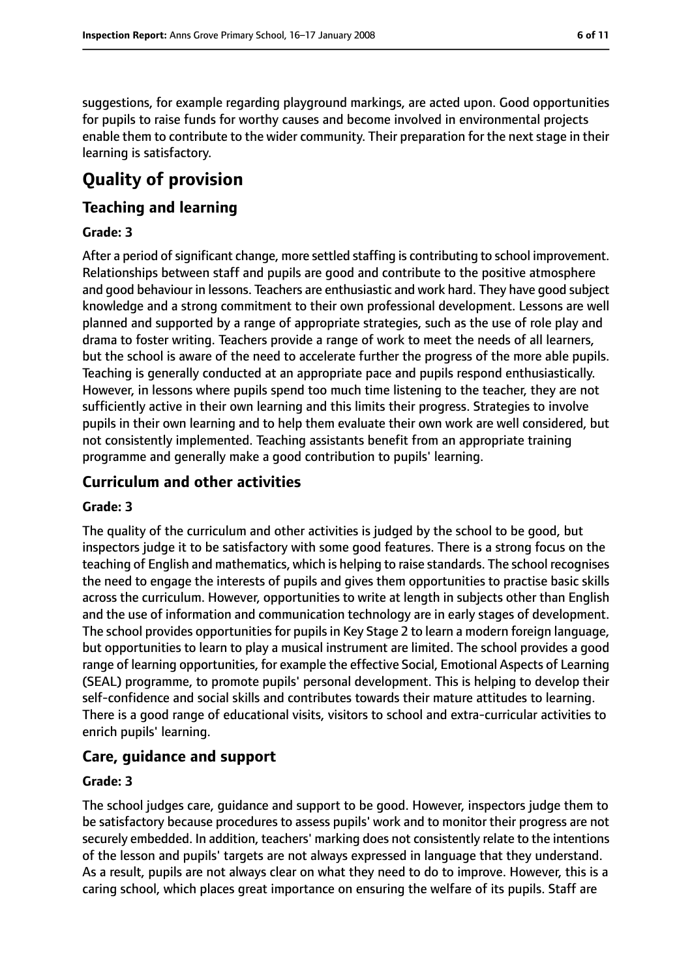suggestions, for example regarding playground markings, are acted upon. Good opportunities for pupils to raise funds for worthy causes and become involved in environmental projects enable them to contribute to the wider community. Their preparation for the next stage in their learning is satisfactory.

# **Quality of provision**

#### **Teaching and learning**

#### **Grade: 3**

After a period of significant change, more settled staffing is contributing to school improvement. Relationships between staff and pupils are good and contribute to the positive atmosphere and good behaviour in lessons. Teachers are enthusiastic and work hard. They have good subject knowledge and a strong commitment to their own professional development. Lessons are well planned and supported by a range of appropriate strategies, such as the use of role play and drama to foster writing. Teachers provide a range of work to meet the needs of all learners, but the school is aware of the need to accelerate further the progress of the more able pupils. Teaching is generally conducted at an appropriate pace and pupils respond enthusiastically. However, in lessons where pupils spend too much time listening to the teacher, they are not sufficiently active in their own learning and this limits their progress. Strategies to involve pupils in their own learning and to help them evaluate their own work are well considered, but not consistently implemented. Teaching assistants benefit from an appropriate training programme and generally make a good contribution to pupils' learning.

#### **Curriculum and other activities**

#### **Grade: 3**

The quality of the curriculum and other activities is judged by the school to be good, but inspectors judge it to be satisfactory with some good features. There is a strong focus on the teaching of English and mathematics, which is helping to raise standards. The school recognises the need to engage the interests of pupils and gives them opportunities to practise basic skills across the curriculum. However, opportunities to write at length in subjects other than English and the use of information and communication technology are in early stages of development. The school provides opportunities for pupils in Key Stage 2 to learn a modern foreign language, but opportunities to learn to play a musical instrument are limited. The school provides a good range of learning opportunities, for example the effective Social, Emotional Aspects of Learning (SEAL) programme, to promote pupils' personal development. This is helping to develop their self-confidence and social skills and contributes towards their mature attitudes to learning. There is a good range of educational visits, visitors to school and extra-curricular activities to enrich pupils' learning.

## **Care, guidance and support**

#### **Grade: 3**

The school judges care, guidance and support to be good. However, inspectors judge them to be satisfactory because procedures to assess pupils' work and to monitor their progress are not securely embedded. In addition, teachers' marking does not consistently relate to the intentions of the lesson and pupils' targets are not always expressed in language that they understand. As a result, pupils are not always clear on what they need to do to improve. However, this is a caring school, which places great importance on ensuring the welfare of its pupils. Staff are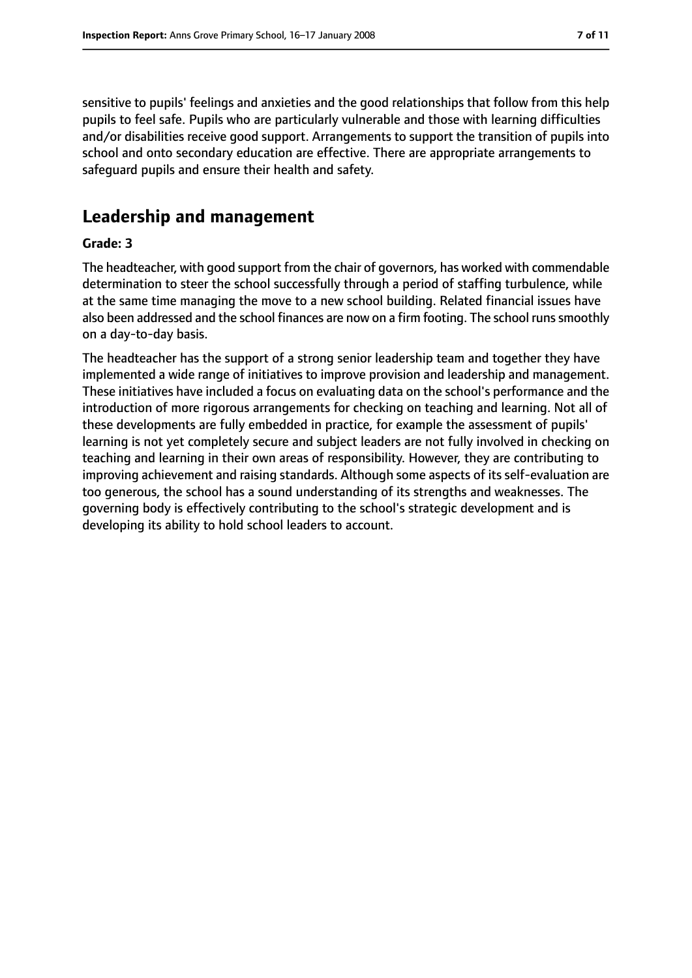sensitive to pupils' feelings and anxieties and the good relationships that follow from this help pupils to feel safe. Pupils who are particularly vulnerable and those with learning difficulties and/or disabilities receive good support. Arrangements to support the transition of pupils into school and onto secondary education are effective. There are appropriate arrangements to safeguard pupils and ensure their health and safety.

## **Leadership and management**

#### **Grade: 3**

The headteacher, with good support from the chair of governors, has worked with commendable determination to steer the school successfully through a period of staffing turbulence, while at the same time managing the move to a new school building. Related financial issues have also been addressed and the school finances are now on a firm footing. The school runs smoothly on a day-to-day basis.

The headteacher has the support of a strong senior leadership team and together they have implemented a wide range of initiatives to improve provision and leadership and management. These initiatives have included a focus on evaluating data on the school's performance and the introduction of more rigorous arrangements for checking on teaching and learning. Not all of these developments are fully embedded in practice, for example the assessment of pupils' learning is not yet completely secure and subject leaders are not fully involved in checking on teaching and learning in their own areas of responsibility. However, they are contributing to improving achievement and raising standards. Although some aspects of its self-evaluation are too generous, the school has a sound understanding of its strengths and weaknesses. The governing body is effectively contributing to the school's strategic development and is developing its ability to hold school leaders to account.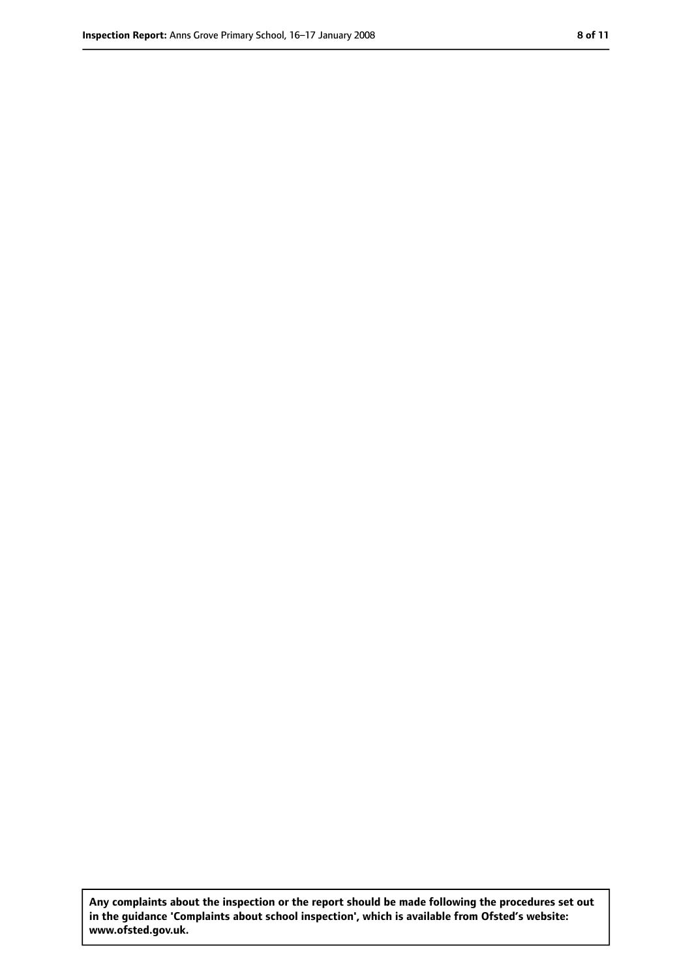**Any complaints about the inspection or the report should be made following the procedures set out in the guidance 'Complaints about school inspection', which is available from Ofsted's website: www.ofsted.gov.uk.**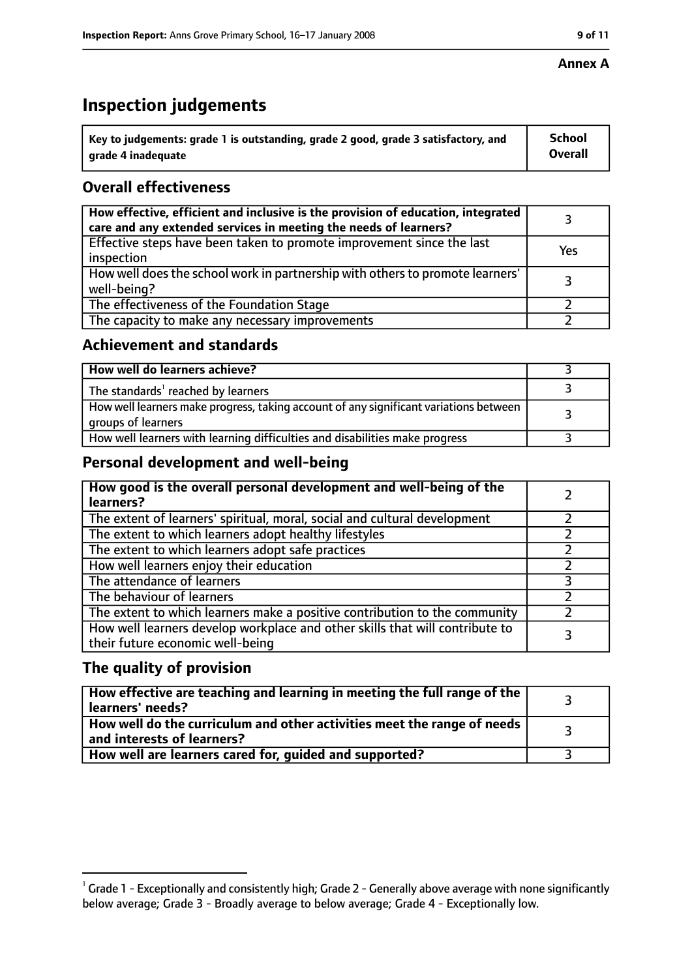# **Inspection judgements**

| $^{\backprime}$ Key to judgements: grade 1 is outstanding, grade 2 good, grade 3 satisfactory, and | School         |
|----------------------------------------------------------------------------------------------------|----------------|
| arade 4 inadeguate                                                                                 | <b>Overall</b> |

## **Overall effectiveness**

| How effective, efficient and inclusive is the provision of education, integrated<br>care and any extended services in meeting the needs of learners? |     |
|------------------------------------------------------------------------------------------------------------------------------------------------------|-----|
| Effective steps have been taken to promote improvement since the last<br>inspection                                                                  | Yes |
| How well does the school work in partnership with others to promote learners'<br>well-being?                                                         |     |
| The effectiveness of the Foundation Stage                                                                                                            |     |
| The capacity to make any necessary improvements                                                                                                      |     |

## **Achievement and standards**

| How well do learners achieve?                                                                               |  |
|-------------------------------------------------------------------------------------------------------------|--|
| The standards <sup>1</sup> reached by learners                                                              |  |
| How well learners make progress, taking account of any significant variations between<br>groups of learners |  |
| How well learners with learning difficulties and disabilities make progress                                 |  |

## **Personal development and well-being**

| How good is the overall personal development and well-being of the<br>learners?                                  |  |
|------------------------------------------------------------------------------------------------------------------|--|
| The extent of learners' spiritual, moral, social and cultural development                                        |  |
| The extent to which learners adopt healthy lifestyles                                                            |  |
| The extent to which learners adopt safe practices                                                                |  |
| How well learners enjoy their education                                                                          |  |
| The attendance of learners                                                                                       |  |
| The behaviour of learners                                                                                        |  |
| The extent to which learners make a positive contribution to the community                                       |  |
| How well learners develop workplace and other skills that will contribute to<br>their future economic well-being |  |

## **The quality of provision**

| How effective are teaching and learning in meeting the full range of the<br>learners' needs?          |  |
|-------------------------------------------------------------------------------------------------------|--|
| How well do the curriculum and other activities meet the range of needs<br>and interests of learners? |  |
| How well are learners cared for, guided and supported?                                                |  |

 $^1$  Grade 1 - Exceptionally and consistently high; Grade 2 - Generally above average with none significantly below average; Grade 3 - Broadly average to below average; Grade 4 - Exceptionally low.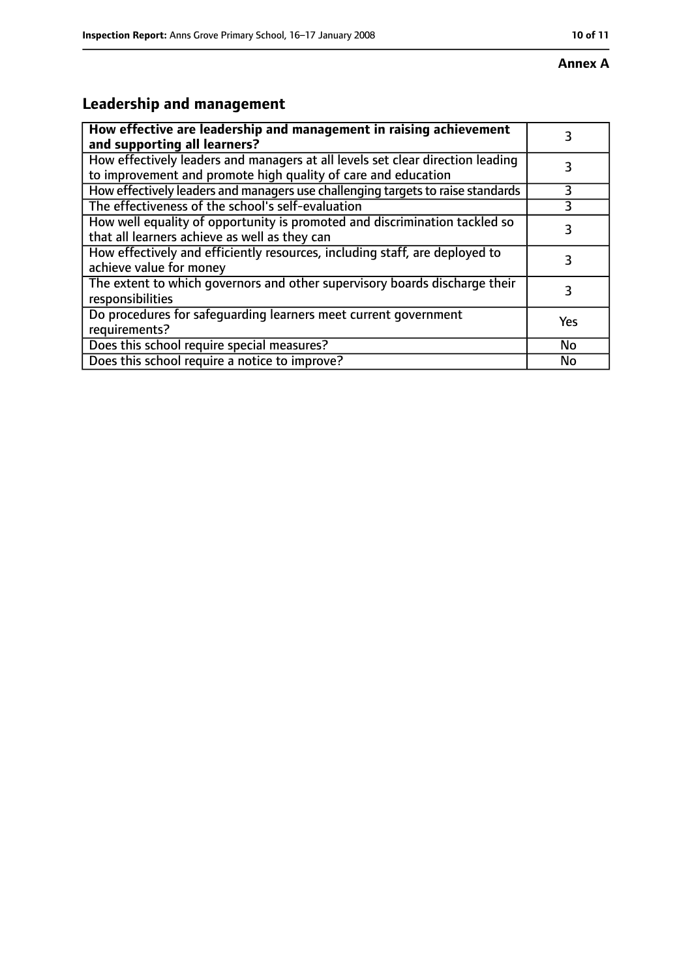# **Leadership and management**

| How effective are leadership and management in raising achievement<br>and supporting all learners?                                              | 3   |
|-------------------------------------------------------------------------------------------------------------------------------------------------|-----|
| How effectively leaders and managers at all levels set clear direction leading<br>to improvement and promote high quality of care and education |     |
| How effectively leaders and managers use challenging targets to raise standards                                                                 | 3   |
| The effectiveness of the school's self-evaluation                                                                                               |     |
| How well equality of opportunity is promoted and discrimination tackled so<br>that all learners achieve as well as they can                     | 3   |
| How effectively and efficiently resources, including staff, are deployed to<br>achieve value for money                                          | 3   |
| The extent to which governors and other supervisory boards discharge their<br>responsibilities                                                  | 3   |
| Do procedures for safequarding learners meet current government<br>requirements?                                                                | Yes |
| Does this school require special measures?                                                                                                      | No  |
| Does this school require a notice to improve?                                                                                                   | No  |